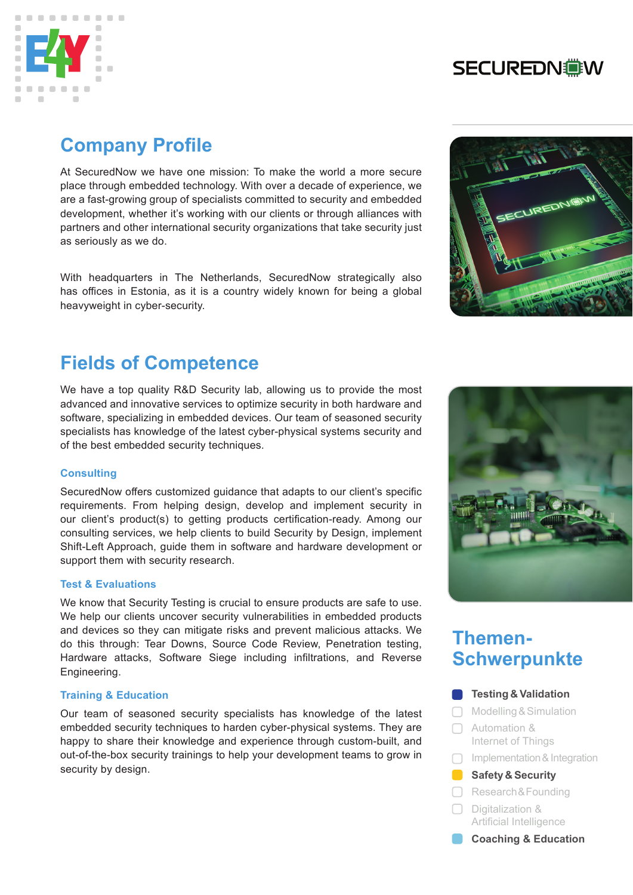

# **SECUREDN@W**

# **Company Profile**

At SecuredNow we have one mission: To make the world a more secure place through embedded technology. With over a decade of experience, we are a fast-growing group of specialists committed to security and embedded development, whether it's working with our clients or through alliances with partners and other international security organizations that take security just as seriously as we do.

With headquarters in The Netherlands, SecuredNow strategically also has offices in Estonia, as it is a country widely known for being a global heavyweight in cyber-security.

# **Fields of Competence**

We have a top quality R&D Security lab, allowing us to provide the most advanced and innovative services to optimize security in both hardware and software, specializing in embedded devices. Our team of seasoned security specialists has knowledge of the latest cyber-physical systems security and of the best embedded security techniques.

### **Consulting**

SecuredNow offers customized guidance that adapts to our client's specific requirements. From helping design, develop and implement security in our client's product(s) to getting products certification-ready. Among our consulting services, we help clients to build Security by Design, implement Shift-Left Approach, guide them in software and hardware development or support them with security research.

### **Test & Evaluations**

We know that Security Testing is crucial to ensure products are safe to use. We help our clients uncover security vulnerabilities in embedded products and devices so they can mitigate risks and prevent malicious attacks. We do this through: Tear Downs, Source Code Review, Penetration testing, Hardware attacks, Software Siege including infiltrations, and Reverse Engineering.

### **Training & Education**

Our team of seasoned security specialists has knowledge of the latest embedded security techniques to harden cyber-physical systems. They are happy to share their knowledge and experience through custom-built, and out-of-the-box security trainings to help your development teams to grow in security by design.





# **Themen-Schwerpunkte**